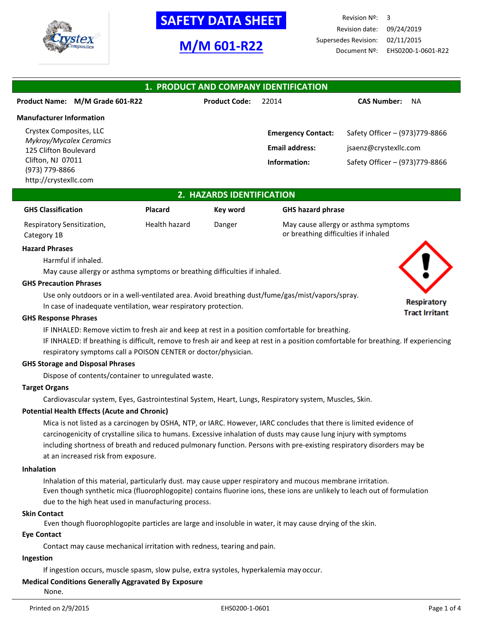

## **-SAFETY DATA SHEET-**

## **M/M 601-R22**

Revision Nº: 3 Revision date: 09/24/2019 Supersedes Revision: 02/11/2015 Document Nº: EHS0200-1-0601-R22

| 1. PRODUCT AND COMPANY IDENTIFICATION            |                      |                           |                                 |  |
|--------------------------------------------------|----------------------|---------------------------|---------------------------------|--|
| Product Name: M/M Grade 601-R22                  | <b>Product Code:</b> | 22014                     | <b>CAS Number:</b><br><b>NA</b> |  |
| <b>Manufacturer Information</b>                  |                      |                           |                                 |  |
| Crystex Composites, LLC                          |                      | <b>Emergency Contact:</b> | Safety Officer - (973)779-8866  |  |
| Mykroy/Mycalex Ceramics<br>125 Clifton Boulevard |                      | <b>Email address:</b>     | jsaenz@crystexllc.com           |  |
| Clifton, NJ 07011                                |                      | Information:              | Safety Officer - (973)779-8866  |  |
| (973) 779-8866<br>http://crystexllc.com          |                      |                           |                                 |  |

## **2. HAZARDS IDENTIFICATION**

| <b>GHS Classification</b>  | <b>Placard</b> | Kev word | <b>GHS hazard phrase</b>             |
|----------------------------|----------------|----------|--------------------------------------|
| Respiratory Sensitization, | Health hazard  | Danger   | May cause allergy or asthma symptoms |
| Category 1B                |                |          | or breathing difficulties if inhaled |

#### **Hazard Phrases**

Harmful if inhaled.

May cause allergy or asthma symptoms or breathing difficulties if inhaled.

#### **GHS Precaution Phrases**

Use only outdoors or in a well-ventilated area. Avoid breathing dust/fume/gas/mist/vapors/spray.

In case of inadequate ventilation, wear respiratory protection.

#### **GHS Response Phrases**

IF INHALED: Remove victim to fresh air and keep at rest in a position comfortable for breathing.

IF INHALED: If breathing is difficult, remove to fresh air and keep at rest in a position comfortable for breathing. If experiencing respiratory symptoms call a POISON CENTER or doctor/physician.

#### **GHS Storage and Disposal Phrases**

Dispose of contents/container to unregulated waste.

### **Target Organs**

Cardiovascular system, Eyes, Gastrointestinal System, Heart, Lungs, Respiratory system, Muscles, Skin.

#### **Potential Health Effects (Acute and Chronic)**

Mica is not listed as a carcinogen by OSHA, NTP, or IARC. However, IARC concludes that there is limited evidence of carcinogenicity of crystalline silica to humans. Excessive inhalation of dusts may cause lung injury with symptoms including shortness of breath and reduced pulmonary function. Persons with pre-existing respiratory disorders may be at an increased risk from exposure.

#### **Inhalation**

Inhalation of this material, particularly dust. may cause upper respiratory and mucous membrane irritation. Even though synthetic mica (fluorophlogopite) contains fluorine ions, these ions are unlikely to leach out of formulation due to the high heat used in manufacturing process.

#### **Skin Contact**

Even though fluorophlogopite particles are large and insoluble in water, it may cause drying of the skin.

#### **Eye Contact**

Contact may cause mechanical irritation with redness, tearing and pain.

## **Ingestion**

If ingestion occurs, muscle spasm, slow pulse, extra systoles, hyperkalemia may occur.

## **Medical Conditions Generally Aggravated By Exposure**

None.

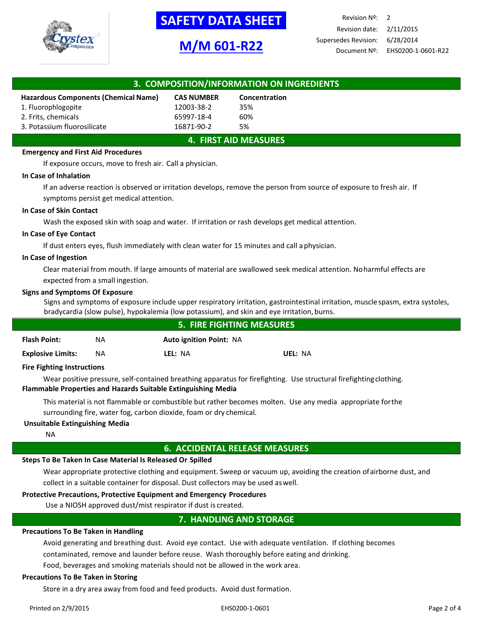

# **SAFETY DATA SHEET**

## **M/M 601-R22**

Revision Nº: 2 Revision date: 2/11/2015 Supersedes Revision: 6/28/2014 Document Nº: EHS0200-1-0601-R22

| 3. COMPOSITION/INFORMATION ON INGREDIENTS |                   |               |  |
|-------------------------------------------|-------------------|---------------|--|
|                                           |                   |               |  |
| Hazardous Components (Chemical Name)      | <b>CAS NUMBER</b> | Concentration |  |
| 1. Fluorophlogopite                       | 12003-38-2        | 35%           |  |
| 2. Frits, chemicals                       | 65997-18-4        | 60%           |  |
| 3. Potassium fluorosilicate               | 16871-90-2        | 5%            |  |
| <b>4. FIRST AID MEASURES</b>              |                   |               |  |

## **Emergency and First Aid Procedures**

If exposure occurs, move to fresh air. Call a physician.

#### **In Case of Inhalation**

If an adverse reaction is observed or irritation develops, remove the person from source of exposure to fresh air. If symptoms persist get medical attention.

#### **In Case of Skin Contact**

Wash the exposed skin with soap and water. If irritation or rash develops get medical attention.

## **In Case of Eye Contact**

If dust enters eyes, flush immediately with clean water for 15 minutes and call aphysician.

#### **In Case of Ingestion**

Clear material from mouth. If large amounts of material are swallowed seek medical attention. Noharmful effects are expected from a small ingestion.

#### **Signs and Symptoms Of Exposure**

Signs and symptoms of exposure include upper respiratory irritation, gastrointestinal irritation, muscle spasm, extra systoles, bradycardia (slow pulse), hypokalemia (low potassium), and skin and eye irritation,burns.

| <b>5. FIRE FIGHTING MEASURES</b> |    |                                |         |
|----------------------------------|----|--------------------------------|---------|
| <b>Flash Point:</b>              | NA | <b>Auto ignition Point: NA</b> |         |
| <b>Explosive Limits:</b>         | ΝA | LEL: NA                        | UEL: NA |

#### **Fire Fighting Instructions**

Wear positive pressure, self-contained breathing apparatus for firefighting. Use structural firefightingclothing. **Flammable Properties and Hazards Suitable Extinguishing Media**

This material is not flammable or combustible but rather becomes molten. Use any media appropriate forthe surrounding fire, water fog, carbon dioxide, foam or dry chemical.

#### **Unsuitable Extinguishing Media**

NA

#### **6. ACCIDENTAL RELEASE MEASURES**

#### **Steps To Be Taken In Case Material Is Released Or Spilled**

Wear appropriate protective clothing and equipment. Sweep or vacuum up, avoiding the creation ofairborne dust, and collect in a suitable container for disposal. Dust collectors may be used aswell.

#### **Protective Precautions, Protective Equipment and Emergency Procedures**

Use a NIOSH approved dust/mist respirator if dust is created.

## **7. HANDLING AND STORAGE**

#### **Precautions To Be Taken in Handling**

Avoid generating and breathing dust. Avoid eye contact. Use with adequate ventilation. If clothing becomes contaminated, remove and launder before reuse. Wash thoroughly before eating and drinking.

Food, beverages and smoking materials should not be allowed in the work area.

#### **Precautions To Be Taken in Storing**

Store in a dry area away from food and feed products. Avoid dust formation.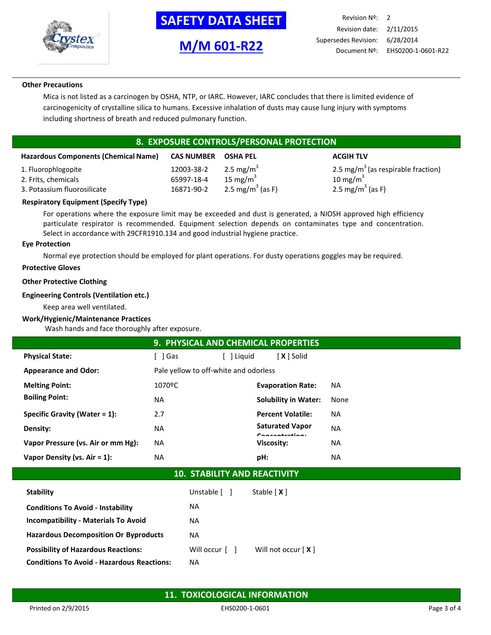

**-SAFETY DATA SHEET-**



Revision Nº: 2 Revision date: 2/11/2015 Supersedes Revision: 6/28/2014 Document Nº: EHS0200-1-0601-R22

#### **Other Precautions**

Mica is not listed as a carcinogen by OSHA, NTP, or IARC. However, IARC concludes that there is limited evidence of carcinogenicity of crystalline silica to humans. Excessive inhalation of dusts may cause lung injury with symptoms including shortness of breath and reduced pulmonary function.

## **8. EXPOSURE CONTROLS/PERSONAL PROTECTION**

| <b>Hazardous Components (Chemical Name)</b> | <b>CAS NUMBER</b> | <b>OSHA PEL</b>              | <b>ACGIH TLV</b>                               |
|---------------------------------------------|-------------------|------------------------------|------------------------------------------------|
| 1. Fluorophlogopite                         | 12003-38-2        | 2.5 mg/m <sup>3</sup>        | 2.5 mg/m <sup>3</sup> (as respirable fraction) |
| 2. Frits, chemicals                         | 65997-18-4        | 15 mg/m $3$                  | 10 mg/m $^3$                                   |
| 3. Potassium fluorosilicate                 | 16871-90-2        | 2.5 mg/m <sup>3</sup> (as F) | 2.5 mg/m <sup>3</sup> (as F)                   |
|                                             |                   |                              |                                                |

## **Respiratory Equipment (Specify Type)**

For operations where the exposure limit may be exceeded and dust is generated, a NIOSH approved high efficiency particulate respirator is recommended. Equipment selection depends on contaminates type and concentration. Select in accordance with 29CFR1910.134 and good industrial hygiene practice.

#### **Eye Protection**

Normal eye protection should be employed for plant operations. For dusty operations goggles may be required.

## **Protective Gloves**

## **Other Protective Clothing**

## **Engineering Controls (Ventilation etc.)**

Keep area well ventilated.

#### **Work/Hygienic/Maintenance Practices**

Wash hands and face thoroughly after exposure.

|                                    | 9. PHYSICAL AND CHEMICAL PROPERTIES   |          |                                             |           |
|------------------------------------|---------------------------------------|----------|---------------------------------------------|-----------|
| <b>Physical State:</b>             | ∫ lGas                                | l Liguid | [ <b>X</b> ] Solid                          |           |
| <b>Appearance and Odor:</b>        | Pale yellow to off-white and odorless |          |                                             |           |
| <b>Melting Point:</b>              | 1070ºC                                |          | <b>Evaporation Rate:</b>                    | NА        |
| <b>Boiling Point:</b>              | <b>NA</b>                             |          | <b>Solubility in Water:</b>                 | None      |
| Specific Gravity (Water $= 1$ ):   | 2.7                                   |          | <b>Percent Volatile:</b>                    | <b>NA</b> |
| Density:                           | NA.                                   |          | <b>Saturated Vapor</b><br>$C$ anaantustiani | <b>NA</b> |
| Vapor Pressure (vs. Air or mm Hg): | NA.                                   |          | Viscosity:                                  | NA        |
| Vapor Density (vs. $Air = 1$ ):    | NA.                                   |          | pH:                                         | <b>NA</b> |

## **10. STABILITY AND REACTIVITY**

| <b>Stability</b>                                  | Unstable [ ]                 | Stable $[X]$         |
|---------------------------------------------------|------------------------------|----------------------|
| <b>Conditions To Avoid - Instability</b>          | <b>NA</b>                    |                      |
| <b>Incompatibility - Materials To Avoid</b>       | <b>NA</b>                    |                      |
| <b>Hazardous Decomposition Or Byproducts</b>      | <b>NA</b>                    |                      |
| <b>Possibility of Hazardous Reactions:</b>        | Will occur $\lceil$ $\rceil$ | Will not occur $[X]$ |
| <b>Conditions To Avoid - Hazardous Reactions:</b> | ΝA                           |                      |